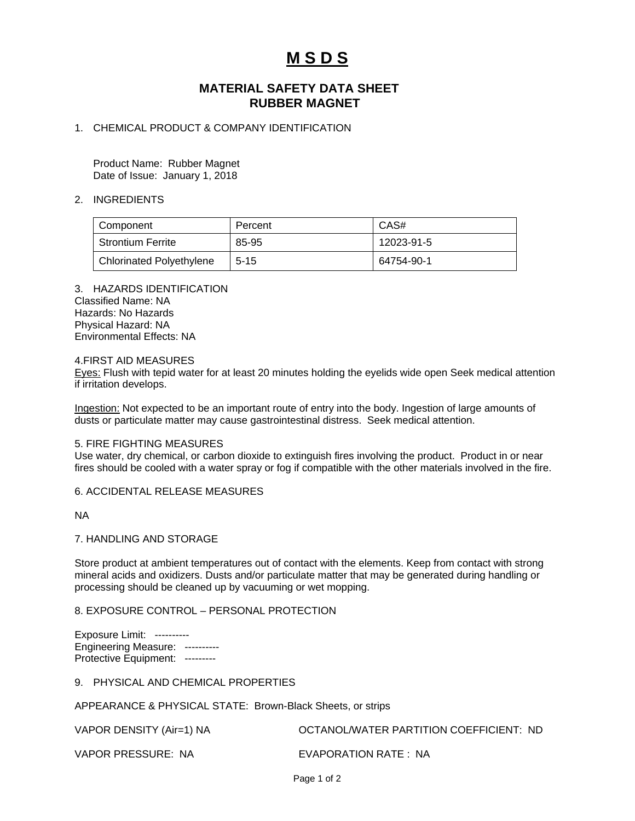# **M S D S**

## **MATERIAL SAFETY DATA SHEET RUBBER MAGNET**

## 1. CHEMICAL PRODUCT & COMPANY IDENTIFICATION

Product Name: Rubber Magnet Date of Issue: January 1, 2018

#### 2. INGREDIENTS

| Component                       | Percent  | CAS#       |
|---------------------------------|----------|------------|
| <b>Strontium Ferrite</b>        | 85-95    | 12023-91-5 |
| <b>Chlorinated Polyethylene</b> | $5 - 15$ | 64754-90-1 |

3. HAZARDS IDENTIFICATION Classified Name: NA Hazards: No Hazards Physical Hazard: NA Environmental Effects: NA

#### 4.FIRST AID MEASURES

Eyes: Flush with tepid water for at least 20 minutes holding the eyelids wide open Seek medical attention if irritation develops.

Ingestion: Not expected to be an important route of entry into the body. Ingestion of large amounts of dusts or particulate matter may cause gastrointestinal distress. Seek medical attention.

#### 5. FIRE FIGHTING MEASURES

Use water, dry chemical, or carbon dioxide to extinguish fires involving the product. Product in or near fires should be cooled with a water spray or fog if compatible with the other materials involved in the fire.

#### 6. ACCIDENTAL RELEASE MEASURES

NA

#### 7. HANDLING AND STORAGE

Store product at ambient temperatures out of contact with the elements. Keep from contact with strong mineral acids and oxidizers. Dusts and/or particulate matter that may be generated during handling or processing should be cleaned up by vacuuming or wet mopping.

### 8. EXPOSURE CONTROL – PERSONAL PROTECTION

Exposure Limit: ---------- Engineering Measure: ---------- Protective Equipment: ---------

9. PHYSICAL AND CHEMICAL PROPERTIES

APPEARANCE & PHYSICAL STATE: Brown-Black Sheets, or strips

| VAPOR DENSITY (Air=1) NA | OCTANOL/WATER PARTITION COEFFICIENT: ND |
|--------------------------|-----------------------------------------|
| VAPOR PRESSURE: NA       | EVAPORATION RATE: NA                    |